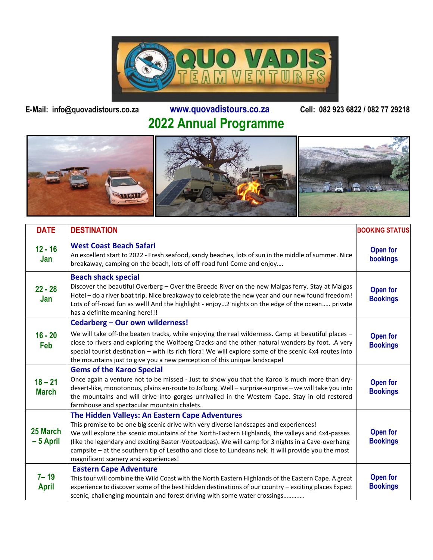

## **E-Mail: info@quovadistours.co.za www.quovadistours.co.za Cell: 082 923 6822 / 082 77 29218 2022 Annual Programme**



| <b>DATE</b>               | <b>DESTINATION</b>                                                                                                                                                                                                                                                                                                                                                                                                                                                                           | <b>BOOKING STATUS</b>              |
|---------------------------|----------------------------------------------------------------------------------------------------------------------------------------------------------------------------------------------------------------------------------------------------------------------------------------------------------------------------------------------------------------------------------------------------------------------------------------------------------------------------------------------|------------------------------------|
| $12 - 16$<br>Jan          | <b>West Coast Beach Safari</b><br>An excellent start to 2022 - Fresh seafood, sandy beaches, lots of sun in the middle of summer. Nice<br>breakaway, camping on the beach, lots of off-road fun! Come and enjoy                                                                                                                                                                                                                                                                              | Open for<br>bookings               |
| $22 - 28$<br>Jan          | <b>Beach shack special</b><br>Discover the beautiful Overberg - Over the Breede River on the new Malgas ferry. Stay at Malgas<br>Hotel - do a river boat trip. Nice breakaway to celebrate the new year and our new found freedom!<br>Lots of off-road fun as well! And the highlight - enjoy2 nights on the edge of the ocean private<br>has a definite meaning here!!!                                                                                                                     | <b>Open for</b><br><b>Bookings</b> |
| $16 - 20$<br>Feb          | Cedarberg - Our own wilderness!<br>We will take off-the beaten tracks, while enjoying the real wilderness. Camp at beautiful places -<br>close to rivers and exploring the Wolfberg Cracks and the other natural wonders by foot. A very<br>special tourist destination - with its rich flora! We will explore some of the scenic 4x4 routes into<br>the mountains just to give you a new perception of this unique landscape!                                                               | <b>Open for</b><br><b>Bookings</b> |
| $18 - 21$<br><b>March</b> | <b>Gems of the Karoo Special</b><br>Once again a venture not to be missed - Just to show you that the Karoo is much more than dry-<br>desert-like, monotonous, plains en-route to Jo'burg. Well - surprise-surprise - we will take you into<br>the mountains and will drive into gorges unrivalled in the Western Cape. Stay in old restored<br>farmhouse and spectacular mountain chalets.                                                                                                  | <b>Open for</b><br><b>Bookings</b> |
| 25 March<br>$-5$ April    | The Hidden Valleys: An Eastern Cape Adventures<br>This promise to be one big scenic drive with very diverse landscapes and experiences!<br>We will explore the scenic mountains of the North-Eastern Highlands, the valleys and 4x4-passes<br>(like the legendary and exciting Baster-Voetpadpas). We will camp for 3 nights in a Cave-overhang<br>campsite - at the southern tip of Lesotho and close to Lundeans nek. It will provide you the most<br>magnificent scenery and experiences! | Open for<br><b>Bookings</b>        |
| $7 - 19$<br><b>April</b>  | <b>Eastern Cape Adventure</b><br>This tour will combine the Wild Coast with the North Eastern Highlands of the Eastern Cape. A great<br>experience to discover some of the best hidden destinations of our country - exciting places Expect<br>scenic, challenging mountain and forest driving with some water crossings                                                                                                                                                                     | Open for<br><b>Bookings</b>        |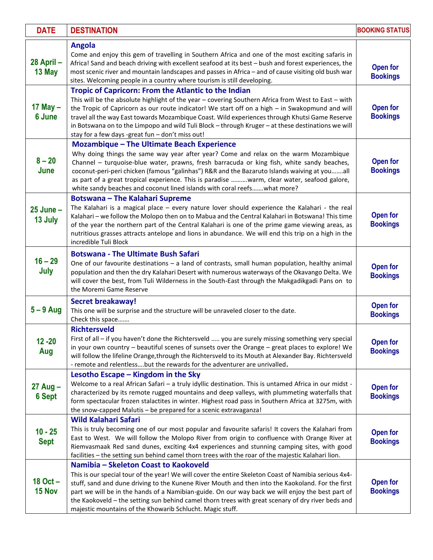| <b>DATE</b>                   | <b>DESTINATION</b>                                                                                                                                                                                                                                                                                                                                                                                                                                                                                                         | <b>BOOKING STATUS</b>              |
|-------------------------------|----------------------------------------------------------------------------------------------------------------------------------------------------------------------------------------------------------------------------------------------------------------------------------------------------------------------------------------------------------------------------------------------------------------------------------------------------------------------------------------------------------------------------|------------------------------------|
| 28 April-<br>13 May           | <b>Angola</b><br>Come and enjoy this gem of travelling in Southern Africa and one of the most exciting safaris in<br>Africa! Sand and beach driving with excellent seafood at its best - bush and forest experiences, the<br>most scenic river and mountain landscapes and passes in Africa - and of cause visiting old bush war<br>sites. Welcoming people in a country where tourism is still developing.                                                                                                                | Open for<br><b>Bookings</b>        |
| 17 May $-$<br>6 June          | Tropic of Capricorn: From the Atlantic to the Indian<br>This will be the absolute highlight of the year - covering Southern Africa from West to East - with<br>the Tropic of Capricorn as our route indicator! We start off on a high - in Swakopmund and will<br>travel all the way East towards Mozambique Coast. Wild experiences through Khutsi Game Reserve<br>in Botswana on to the Limpopo and wild Tuli Block - through Kruger - at these destinations we will<br>stay for a few days -great fun - don't miss out! | Open for<br><b>Bookings</b>        |
| $8 - 20$<br>June              | Mozambique - The Ultimate Beach Experience<br>Why doing things the same way year after year? Come and relax on the warm Mozambique<br>Channel - turquoise-blue water, prawns, fresh barracuda or king fish, white sandy beaches,<br>coconut-peri-peri chicken (famous "galinhas") R&R and the Bazaruto Islands waiving at youall<br>as part of a great tropical experience. This is paradise warm, clear water, seafood galore,<br>white sandy beaches and coconut lined islands with coral reefs what more?               | Open for<br><b>Bookings</b>        |
| $25$ June $-$<br>13 July      | <b>Botswana - The Kalahari Supreme</b><br>The Kalahari is a magical place - every nature lover should experience the Kalahari - the real<br>Kalahari - we follow the Molopo then on to Mabua and the Central Kalahari in Botswana! This time<br>of the year the northern part of the Central Kalahari is one of the prime game viewing areas, as<br>nutritious grasses attracts antelope and lions in abundance. We will end this trip on a high in the<br>incredible Tuli Block                                           | Open for<br><b>Bookings</b>        |
| $16 - 29$<br>July             | <b>Botswana - The Ultimate Bush Safari</b><br>One of our favourite destinations - a land of contrasts, small human population, healthy animal<br>population and then the dry Kalahari Desert with numerous waterways of the Okavango Delta. We<br>will cover the best, from Tuli Wilderness in the South-East through the Makgadikgadi Pans on to<br>the Moremi Game Reserve                                                                                                                                               | Open for<br><b>Bookings</b>        |
| $5 - 9$ Aug                   | <b>Secret breakaway!</b><br>This one will be surprise and the structure will be unraveled closer to the date.<br>Check this space                                                                                                                                                                                                                                                                                                                                                                                          | Open for<br><b>Bookings</b>        |
| $12 - 20$<br>Aug              | <b>Richtersveld</b><br>First of all - if you haven't done the Richtersveld  you are surely missing something very special<br>in your own country - beautiful scenes of sunsets over the Orange - great places to explore! We<br>will follow the lifeline Orange, through the Richtersveld to its Mouth at Alexander Bay. Richtersveld<br>- remote and relentlessbut the rewards for the adventurer are unrivalled.                                                                                                         | <b>Open for</b><br><b>Bookings</b> |
| $27$ Aug $-$<br><b>6 Sept</b> | Lesotho Escape - Kingdom in the Sky<br>Welcome to a real African Safari - a truly idyllic destination. This is untamed Africa in our midst -<br>characterized by its remote rugged mountains and deep valleys, with plummeting waterfalls that<br>form spectacular frozen stalactites in winter. Highest road pass in Southern Africa at 3275m, with<br>the snow-capped Malutis - be prepared for a scenic extravaganza!                                                                                                   | Open for<br><b>Bookings</b>        |
| $10 - 25$<br><b>Sept</b>      | <b>Wild Kalahari Safari</b><br>This is truly becoming one of our most popular and favourite safaris! It covers the Kalahari from<br>East to West. We will follow the Molopo River from origin to confluence with Orange River at<br>Riemvasmaak Red sand dunes, exciting 4x4 experiences and stunning camping sites, with good<br>facilities - the setting sun behind camel thorn trees with the roar of the majestic Kalahari lion.                                                                                       | <b>Open for</b><br><b>Bookings</b> |
| 18 Oct -<br>15 Nov            | Namibia - Skeleton Coast to Kaokoveld<br>This is our special tour of the year! We will cover the entire Skeleton Coast of Namibia serious 4x4-<br>stuff, sand and dune driving to the Kunene River Mouth and then into the Kaokoland. For the first<br>part we will be in the hands of a Namibian-guide. On our way back we will enjoy the best part of<br>the Kaokoveld - the setting sun behind camel thorn trees with great scenary of dry river beds and<br>majestic mountains of the Khowarib Schlucht. Magic stuff.  | <b>Open for</b><br><b>Bookings</b> |